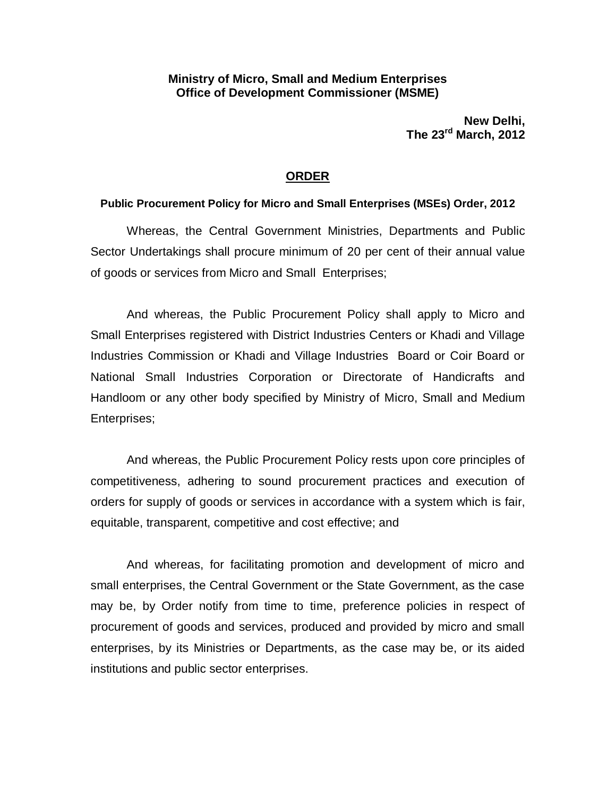### **Ministry of Micro, Small and Medium Enterprises Office of Development Commissioner (MSME)**

**New Delhi, The 23rd March, 2012**

### **ORDER**

#### **Public Procurement Policy for Micro and Small Enterprises (MSEs) Order, 2012**

Whereas, the Central Government Ministries, Departments and Public Sector Undertakings shall procure minimum of 20 per cent of their annual value of goods or services from Micro and Small Enterprises;

And whereas, the Public Procurement Policy shall apply to Micro and Small Enterprises registered with District Industries Centers or Khadi and Village Industries Commission or Khadi and Village Industries Board or Coir Board or National Small Industries Corporation or Directorate of Handicrafts and Handloom or any other body specified by Ministry of Micro, Small and Medium Enterprises;

And whereas, the Public Procurement Policy rests upon core principles of competitiveness, adhering to sound procurement practices and execution of orders for supply of goods or services in accordance with a system which is fair, equitable, transparent, competitive and cost effective; and

And whereas, for facilitating promotion and development of micro and small enterprises, the Central Government or the State Government, as the case may be, by Order notify from time to time, preference policies in respect of procurement of goods and services, produced and provided by micro and small enterprises, by its Ministries or Departments, as the case may be, or its aided institutions and public sector enterprises.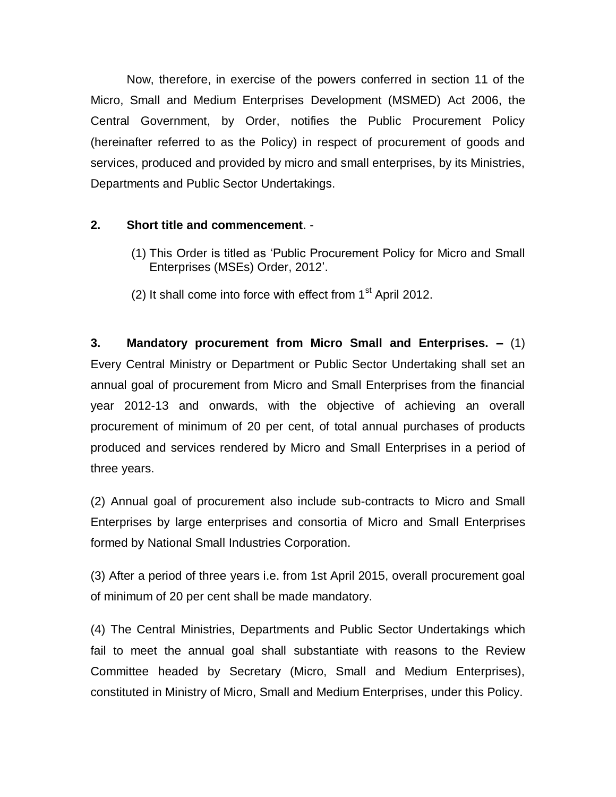Now, therefore, in exercise of the powers conferred in section 11 of the Micro, Small and Medium Enterprises Development (MSMED) Act 2006, the Central Government, by Order, notifies the Public Procurement Policy (hereinafter referred to as the Policy) in respect of procurement of goods and services, produced and provided by micro and small enterprises, by its Ministries, Departments and Public Sector Undertakings.

## **2. Short title and commencement**. -

- (1) This Order is titled as 'Public Procurement Policy for Micro and Small Enterprises (MSEs) Order, 2012'.
- (2) It shall come into force with effect from  $1<sup>st</sup>$  April 2012.

**3. Mandatory procurement from Micro Small and Enterprises. –** (1) Every Central Ministry or Department or Public Sector Undertaking shall set an annual goal of procurement from Micro and Small Enterprises from the financial year 2012-13 and onwards, with the objective of achieving an overall procurement of minimum of 20 per cent, of total annual purchases of products produced and services rendered by Micro and Small Enterprises in a period of three years.

(2) Annual goal of procurement also include sub-contracts to Micro and Small Enterprises by large enterprises and consortia of Micro and Small Enterprises formed by National Small Industries Corporation.

(3) After a period of three years i.e. from 1st April 2015, overall procurement goal of minimum of 20 per cent shall be made mandatory.

(4) The Central Ministries, Departments and Public Sector Undertakings which fail to meet the annual goal shall substantiate with reasons to the Review Committee headed by Secretary (Micro, Small and Medium Enterprises), constituted in Ministry of Micro, Small and Medium Enterprises, under this Policy.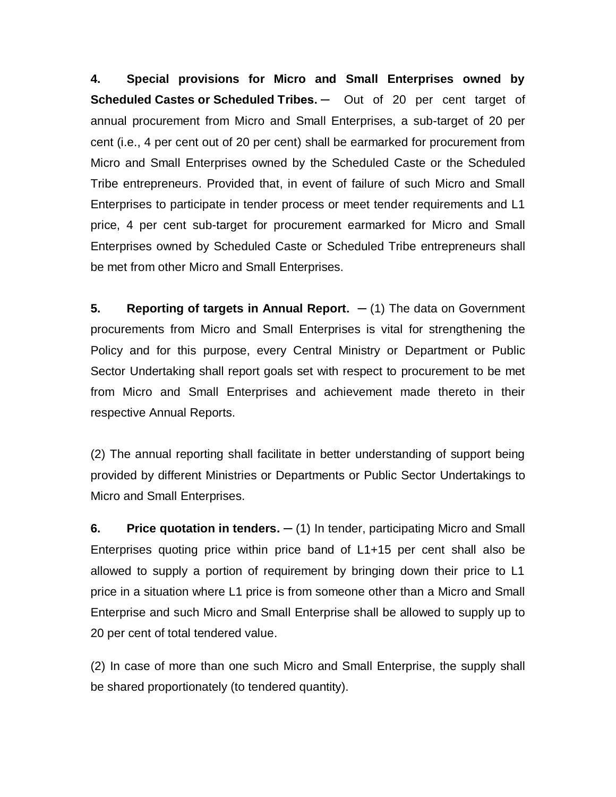**4. Special provisions for Micro and Small Enterprises owned by Scheduled Castes or Scheduled Tribes. ─** Out of 20 per cent target of annual procurement from Micro and Small Enterprises, a sub-target of 20 per cent (i.e., 4 per cent out of 20 per cent) shall be earmarked for procurement from Micro and Small Enterprises owned by the Scheduled Caste or the Scheduled Tribe entrepreneurs. Provided that, in event of failure of such Micro and Small Enterprises to participate in tender process or meet tender requirements and L1 price, 4 per cent sub-target for procurement earmarked for Micro and Small Enterprises owned by Scheduled Caste or Scheduled Tribe entrepreneurs shall be met from other Micro and Small Enterprises.

**5. Reporting of targets in Annual Report. ─** (1) The data on Government procurements from Micro and Small Enterprises is vital for strengthening the Policy and for this purpose, every Central Ministry or Department or Public Sector Undertaking shall report goals set with respect to procurement to be met from Micro and Small Enterprises and achievement made thereto in their respective Annual Reports.

(2) The annual reporting shall facilitate in better understanding of support being provided by different Ministries or Departments or Public Sector Undertakings to Micro and Small Enterprises.

**6. Price quotation in tenders. ─** (1) In tender, participating Micro and Small Enterprises quoting price within price band of L1+15 per cent shall also be allowed to supply a portion of requirement by bringing down their price to L1 price in a situation where L1 price is from someone other than a Micro and Small Enterprise and such Micro and Small Enterprise shall be allowed to supply up to 20 per cent of total tendered value.

(2) In case of more than one such Micro and Small Enterprise, the supply shall be shared proportionately (to tendered quantity).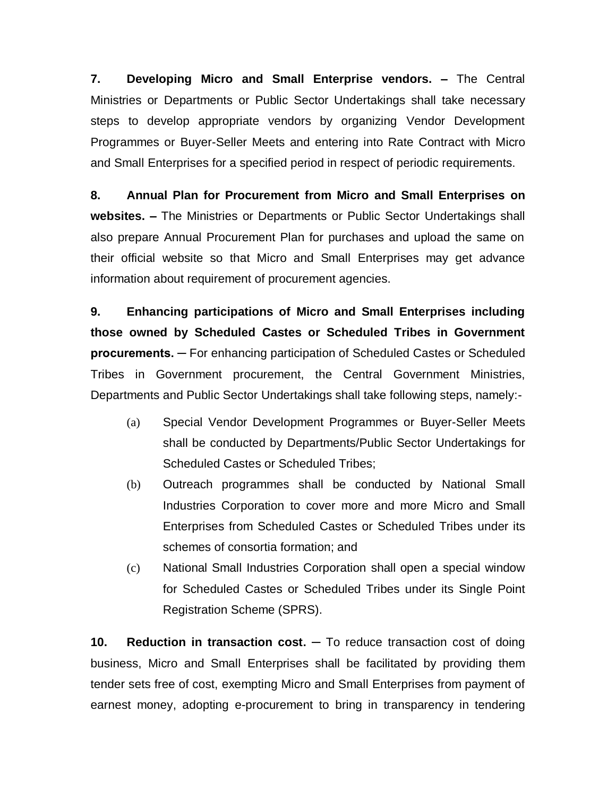**7. Developing Micro and Small Enterprise vendors. –** The Central Ministries or Departments or Public Sector Undertakings shall take necessary steps to develop appropriate vendors by organizing Vendor Development Programmes or Buyer-Seller Meets and entering into Rate Contract with Micro and Small Enterprises for a specified period in respect of periodic requirements.

**8. Annual Plan for Procurement from Micro and Small Enterprises on websites. –** The Ministries or Departments or Public Sector Undertakings shall also prepare Annual Procurement Plan for purchases and upload the same on their official website so that Micro and Small Enterprises may get advance information about requirement of procurement agencies.

**9. Enhancing participations of Micro and Small Enterprises including those owned by Scheduled Castes or Scheduled Tribes in Government procurements. ─** For enhancing participation of Scheduled Castes or Scheduled Tribes in Government procurement, the Central Government Ministries, Departments and Public Sector Undertakings shall take following steps, namely:-

- (a) Special Vendor Development Programmes or Buyer-Seller Meets shall be conducted by Departments/Public Sector Undertakings for Scheduled Castes or Scheduled Tribes;
- (b) Outreach programmes shall be conducted by National Small Industries Corporation to cover more and more Micro and Small Enterprises from Scheduled Castes or Scheduled Tribes under its schemes of consortia formation; and
- (c) National Small Industries Corporation shall open a special window for Scheduled Castes or Scheduled Tribes under its Single Point Registration Scheme (SPRS).

**10. Reduction in transaction cost. ─** To reduce transaction cost of doing business, Micro and Small Enterprises shall be facilitated by providing them tender sets free of cost, exempting Micro and Small Enterprises from payment of earnest money, adopting e-procurement to bring in transparency in tendering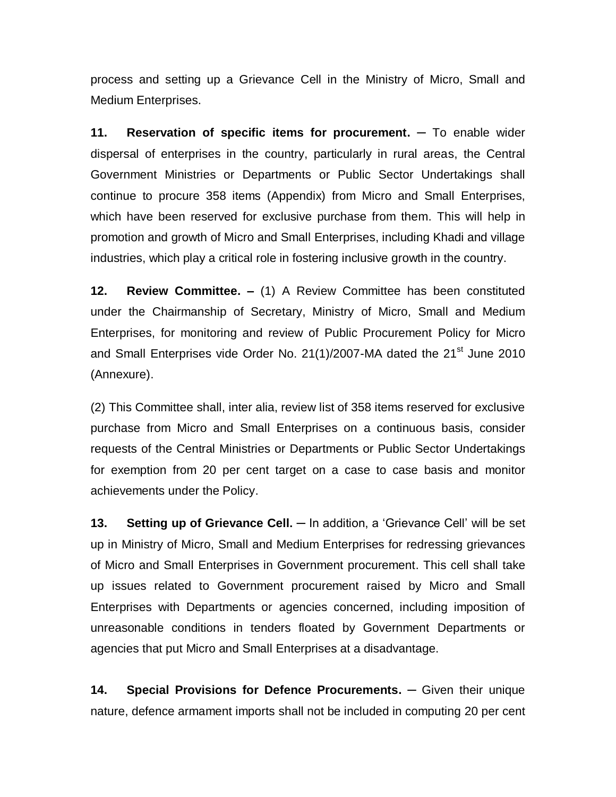process and setting up a Grievance Cell in the Ministry of Micro, Small and Medium Enterprises.

**11. Reservation of specific items for procurement. ─** To enable wider dispersal of enterprises in the country, particularly in rural areas, the Central Government Ministries or Departments or Public Sector Undertakings shall continue to procure 358 items (Appendix) from Micro and Small Enterprises, which have been reserved for exclusive purchase from them. This will help in promotion and growth of Micro and Small Enterprises, including Khadi and village industries, which play a critical role in fostering inclusive growth in the country.

**12. Review Committee. –** (1) A Review Committee has been constituted under the Chairmanship of Secretary, Ministry of Micro, Small and Medium Enterprises, for monitoring and review of Public Procurement Policy for Micro and Small Enterprises vide Order No. 21(1)/2007-MA dated the 21<sup>st</sup> June 2010 (Annexure).

(2) This Committee shall, inter alia, review list of 358 items reserved for exclusive purchase from Micro and Small Enterprises on a continuous basis, consider requests of the Central Ministries or Departments or Public Sector Undertakings for exemption from 20 per cent target on a case to case basis and monitor achievements under the Policy.

**13. Setting up of Grievance Cell. ─** In addition, a 'Grievance Cell' will be set up in Ministry of Micro, Small and Medium Enterprises for redressing grievances of Micro and Small Enterprises in Government procurement. This cell shall take up issues related to Government procurement raised by Micro and Small Enterprises with Departments or agencies concerned, including imposition of unreasonable conditions in tenders floated by Government Departments or agencies that put Micro and Small Enterprises at a disadvantage.

**14. Special Provisions for Defence Procurements. ─** Given their unique nature, defence armament imports shall not be included in computing 20 per cent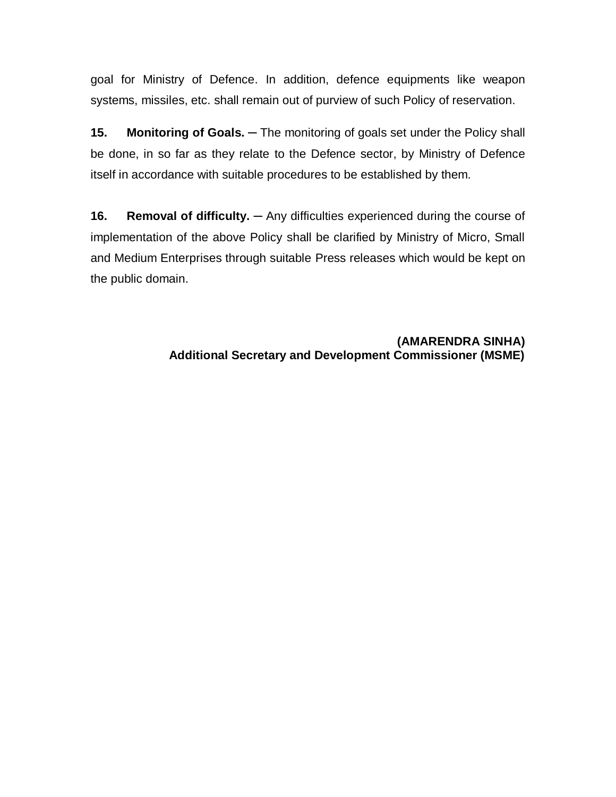goal for Ministry of Defence. In addition, defence equipments like weapon systems, missiles, etc. shall remain out of purview of such Policy of reservation.

**15. Monitoring of Goals. ─** The monitoring of goals set under the Policy shall be done, in so far as they relate to the Defence sector, by Ministry of Defence itself in accordance with suitable procedures to be established by them.

**16. Removal of difficulty. ─** Any difficulties experienced during the course of implementation of the above Policy shall be clarified by Ministry of Micro, Small and Medium Enterprises through suitable Press releases which would be kept on the public domain.

> **(AMARENDRA SINHA) Additional Secretary and Development Commissioner (MSME)**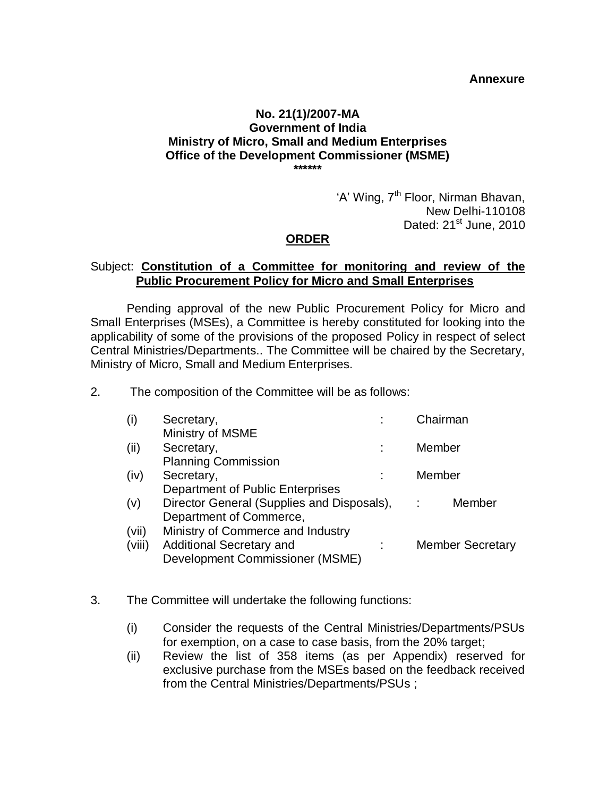#### **Annexure**

#### **No. 21(1)/2007-MA Government of India Ministry of Micro, Small and Medium Enterprises Office of the Development Commissioner (MSME) \*\*\*\*\*\***

'A' Wing, 7<sup>th</sup> Floor, Nirman Bhavan, New Delhi-110108 Dated:  $21<sup>st</sup>$  June, 2010

#### **ORDER**

### Subject: **Constitution of a Committee for monitoring and review of the Public Procurement Policy for Micro and Small Enterprises**

Pending approval of the new Public Procurement Policy for Micro and Small Enterprises (MSEs), a Committee is hereby constituted for looking into the applicability of some of the provisions of the proposed Policy in respect of select Central Ministries/Departments.. The Committee will be chaired by the Secretary, Ministry of Micro, Small and Medium Enterprises.

2. The composition of the Committee will be as follows:

| (i)    | Secretary,                                 | Chairman  |                         |
|--------|--------------------------------------------|-----------|-------------------------|
|        | Ministry of MSME                           |           |                         |
| (ii)   | Secretary,                                 | Member    |                         |
|        | <b>Planning Commission</b>                 |           |                         |
| (iv)   | Secretary,                                 | Member    |                         |
|        | Department of Public Enterprises           |           |                         |
| (v)    | Director General (Supplies and Disposals), | $\sim 10$ | Member                  |
|        | Department of Commerce,                    |           |                         |
| (vii)  | Ministry of Commerce and Industry          |           |                         |
| (viii) | <b>Additional Secretary and</b>            |           | <b>Member Secretary</b> |
|        | Development Commissioner (MSME)            |           |                         |

- 3. The Committee will undertake the following functions:
	- (i) Consider the requests of the Central Ministries/Departments/PSUs for exemption, on a case to case basis, from the 20% target;
	- (ii) Review the list of 358 items (as per Appendix) reserved for exclusive purchase from the MSEs based on the feedback received from the Central Ministries/Departments/PSUs ;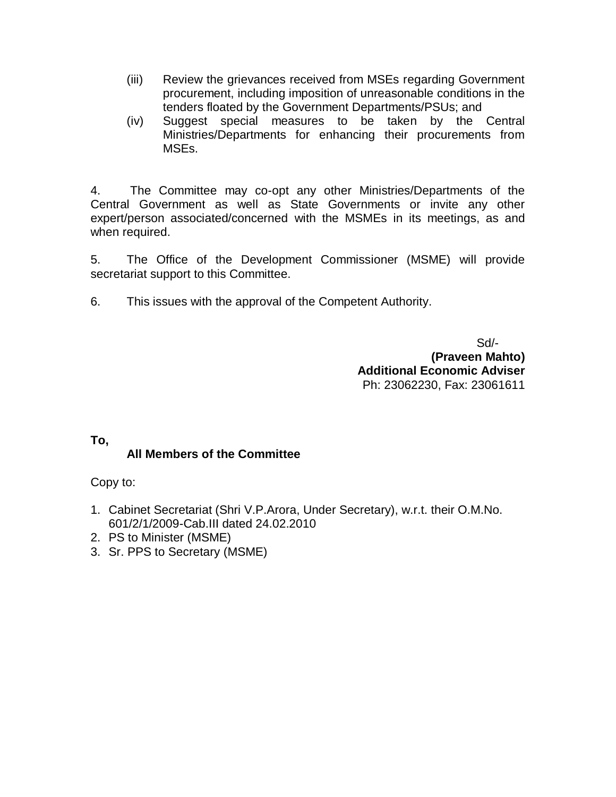- (iii) Review the grievances received from MSEs regarding Government procurement, including imposition of unreasonable conditions in the tenders floated by the Government Departments/PSUs; and
- (iv) Suggest special measures to be taken by the Central Ministries/Departments for enhancing their procurements from MSEs.

4. The Committee may co-opt any other Ministries/Departments of the Central Government as well as State Governments or invite any other expert/person associated/concerned with the MSMEs in its meetings, as and when required.

5. The Office of the Development Commissioner (MSME) will provide secretariat support to this Committee.

6. This issues with the approval of the Competent Authority.

 Sd/- **(Praveen Mahto) Additional Economic Adviser** Ph: 23062230, Fax: 23061611

## **To,**

## **All Members of the Committee**

Copy to:

- 1. Cabinet Secretariat (Shri V.P.Arora, Under Secretary), w.r.t. their O.M.No. 601/2/1/2009-Cab.III dated 24.02.2010
- 2. PS to Minister (MSME)
- 3. Sr. PPS to Secretary (MSME)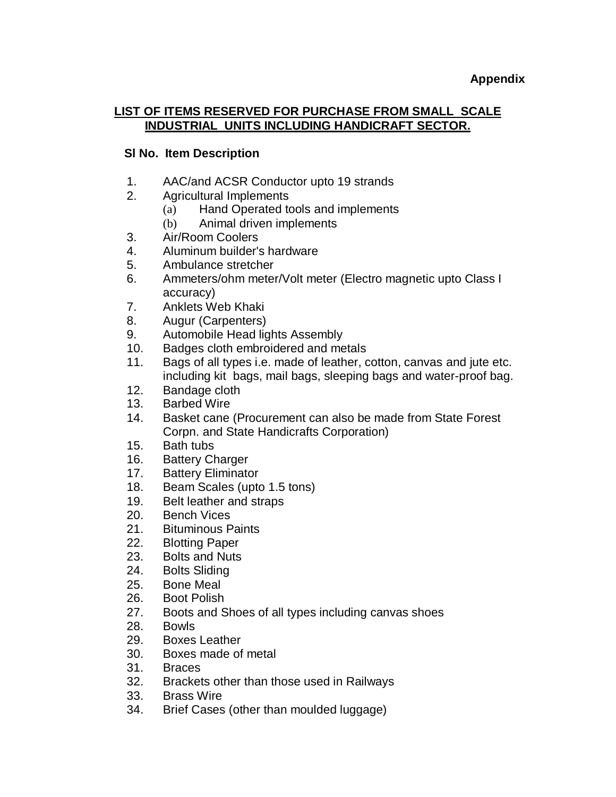### **LIST OF ITEMS RESERVED FOR PURCHASE FROM SMALL SCALE INDUSTRIAL UNITS INCLUDING HANDICRAFT SECTOR.**

# **Sl No. Item Description**

- 1. AAC/and ACSR Conductor upto 19 strands
- 2. Agricultural Implements
	- (a) Hand Operated tools and implements
	- (b) Animal driven implements
- 3. Air/Room Coolers
- 4. Aluminum builder's hardware
- 5. Ambulance stretcher
- 6. Ammeters/ohm meter/Volt meter (Electro magnetic upto Class I accuracy)
- 7. Anklets Web Khaki
- 8. Augur (Carpenters)
- 9. Automobile Head lights Assembly
- 10. Badges cloth embroidered and metals
- 11. Bags of all types i.e. made of leather, cotton, canvas and jute etc. including kit bags, mail bags, sleeping bags and water-proof bag.
- 12. Bandage cloth
- 13. Barbed Wire
- 14. Basket cane (Procurement can also be made from State Forest Corpn. and State Handicrafts Corporation)
- 15. Bath tubs
- 16. Battery Charger
- 17. Battery Eliminator
- 18. Beam Scales (upto 1.5 tons)
- 19. Belt leather and straps
- 20. Bench Vices
- 21. Bituminous Paints
- 22. Blotting Paper
- 23. Bolts and Nuts
- 24. Bolts Sliding
- 25. Bone Meal
- 26. Boot Polish
- 27. Boots and Shoes of all types including canvas shoes
- 28. Bowls
- 29. Boxes Leather
- 30. Boxes made of metal
- 31. Braces
- 32. Brackets other than those used in Railways
- 33. Brass Wire
- 34. Brief Cases (other than moulded luggage)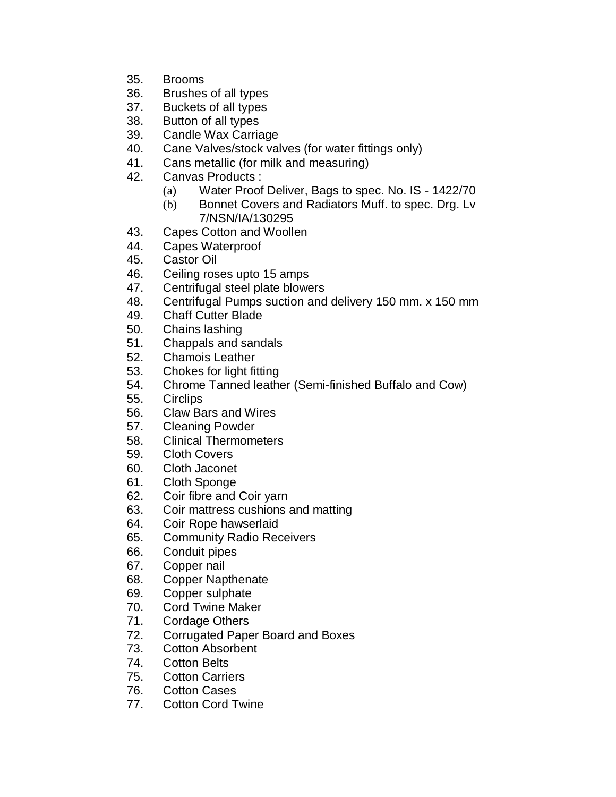- 35. Brooms
- 36. Brushes of all types
- 37. Buckets of all types
- 38. Button of all types
- 39. Candle Wax Carriage
- 40. Cane Valves/stock valves (for water fittings only)
- 41. Cans metallic (for milk and measuring)
- 42. Canvas Products :
	- (a) Water Proof Deliver, Bags to spec. No. IS 1422/70
	- (b) Bonnet Covers and Radiators Muff. to spec. Drg. Lv 7/NSN/IA/130295
- 43. Capes Cotton and Woollen
- 44. Capes Waterproof
- 45. Castor Oil
- 46. Ceiling roses upto 15 amps
- 47. Centrifugal steel plate blowers
- 48. Centrifugal Pumps suction and delivery 150 mm. x 150 mm
- 49. Chaff Cutter Blade
- 50. Chains lashing
- 51. Chappals and sandals
- 52. Chamois Leather
- 53. Chokes for light fitting
- 54. Chrome Tanned leather (Semi-finished Buffalo and Cow)
- 55. Circlips
- 56. Claw Bars and Wires
- 57. Cleaning Powder
- 58. Clinical Thermometers
- 59. Cloth Covers
- 60. Cloth Jaconet
- 61. Cloth Sponge
- 62. Coir fibre and Coir yarn
- 63. Coir mattress cushions and matting
- 64. Coir Rope hawserlaid
- 65. Community Radio Receivers
- 66. Conduit pipes
- 67. Copper nail
- 68. Copper Napthenate
- 69. Copper sulphate
- 70. Cord Twine Maker
- 71. Cordage Others
- 72. Corrugated Paper Board and Boxes
- 73. Cotton Absorbent
- 74. Cotton Belts
- 75. Cotton Carriers
- 76. Cotton Cases
- 77. Cotton Cord Twine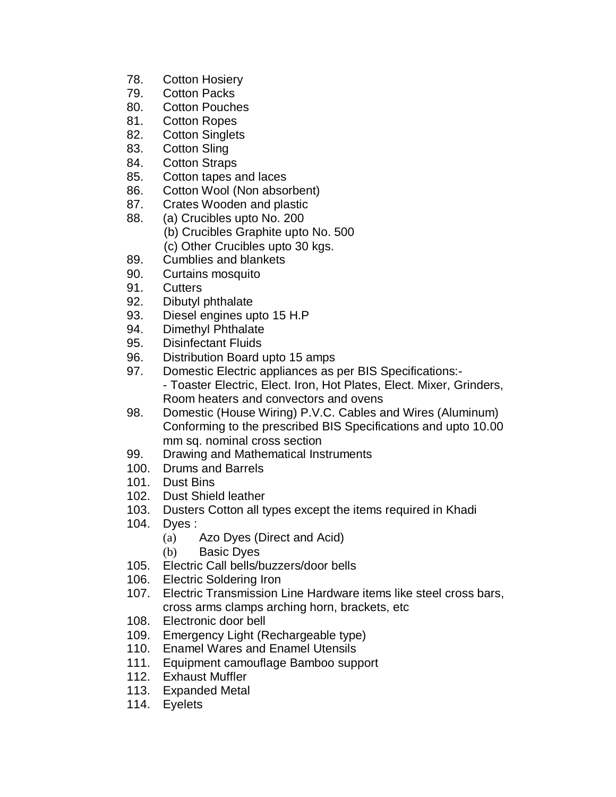- 78. Cotton Hosiery
- 79. Cotton Packs
- 80. Cotton Pouches
- 81. Cotton Ropes
- 82. Cotton Singlets
- 83. Cotton Sling
- 84. Cotton Straps
- 85. Cotton tapes and laces
- 86. Cotton Wool (Non absorbent)
- 87. Crates Wooden and plastic
- 88. (a) Crucibles upto No. 200
	- (b) Crucibles Graphite upto No. 500
	- (c) Other Crucibles upto 30 kgs.
- 89. Cumblies and blankets
- 90. Curtains mosquito
- 91. Cutters
- 92. Dibutyl phthalate
- 93. Diesel engines upto 15 H.P
- 94. Dimethyl Phthalate
- 95. Disinfectant Fluids
- 96. Distribution Board upto 15 amps
- 97. Domestic Electric appliances as per BIS Specifications:- - Toaster Electric, Elect. Iron, Hot Plates, Elect. Mixer, Grinders, Room heaters and convectors and ovens
- 98. Domestic (House Wiring) P.V.C. Cables and Wires (Aluminum) Conforming to the prescribed BIS Specifications and upto 10.00 mm sq. nominal cross section
- 99. Drawing and Mathematical Instruments
- 100. Drums and Barrels
- 101. Dust Bins
- 102. Dust Shield leather
- 103. Dusters Cotton all types except the items required in Khadi
- 104. Dyes :
	- (a) Azo Dyes (Direct and Acid)
	- (b) Basic Dyes
- 105. Electric Call bells/buzzers/door bells
- 106. Electric Soldering Iron
- 107. Electric Transmission Line Hardware items like steel cross bars, cross arms clamps arching horn, brackets, etc
- 108. Electronic door bell
- 109. Emergency Light (Rechargeable type)
- 110. Enamel Wares and Enamel Utensils
- 111. Equipment camouflage Bamboo support
- 112. Exhaust Muffler
- 113. Expanded Metal
- 114. Eyelets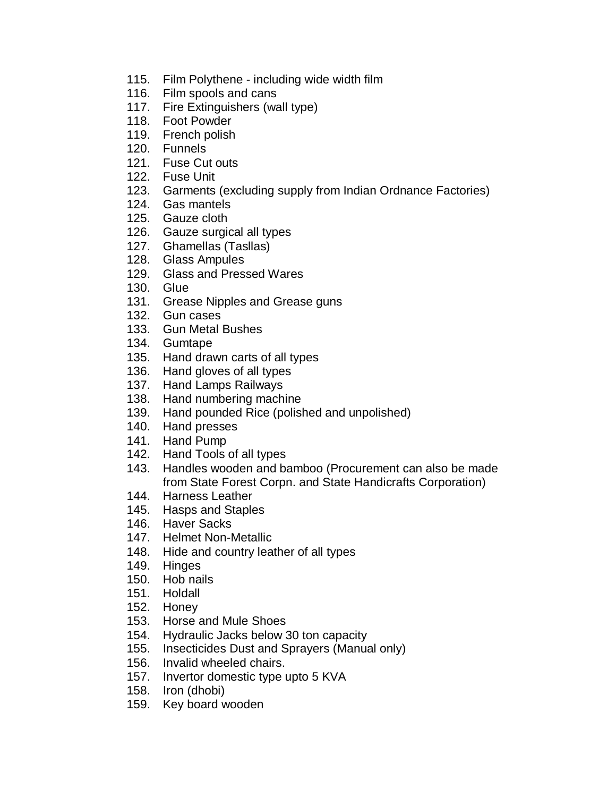- 115. Film Polythene including wide width film
- 116. Film spools and cans
- 117. Fire Extinguishers (wall type)
- 118. Foot Powder
- 119. French polish
- 120. Funnels
- 121. Fuse Cut outs
- 122. Fuse Unit
- 123. Garments (excluding supply from Indian Ordnance Factories)
- 124. Gas mantels
- 125. Gauze cloth
- 126. Gauze surgical all types
- 127. Ghamellas (Tasllas)
- 128. Glass Ampules
- 129. Glass and Pressed Wares
- 130. Glue
- 131. Grease Nipples and Grease guns
- 132. Gun cases
- 133. Gun Metal Bushes
- 134. Gumtape
- 135. Hand drawn carts of all types
- 136. Hand gloves of all types
- 137. Hand Lamps Railways
- 138. Hand numbering machine
- 139. Hand pounded Rice (polished and unpolished)
- 140. Hand presses
- 141. Hand Pump
- 142. Hand Tools of all types
- 143. Handles wooden and bamboo (Procurement can also be made from State Forest Corpn. and State Handicrafts Corporation)
- 144. Harness Leather
- 145. Hasps and Staples
- 146. Haver Sacks
- 147. Helmet Non-Metallic
- 148. Hide and country leather of all types
- 149. Hinges
- 150. Hob nails
- 151. Holdall
- 152. Honey
- 153. Horse and Mule Shoes
- 154. Hydraulic Jacks below 30 ton capacity
- 155. Insecticides Dust and Sprayers (Manual only)
- 156. Invalid wheeled chairs.
- 157. Invertor domestic type upto 5 KVA
- 158. Iron (dhobi)
- 159. Key board wooden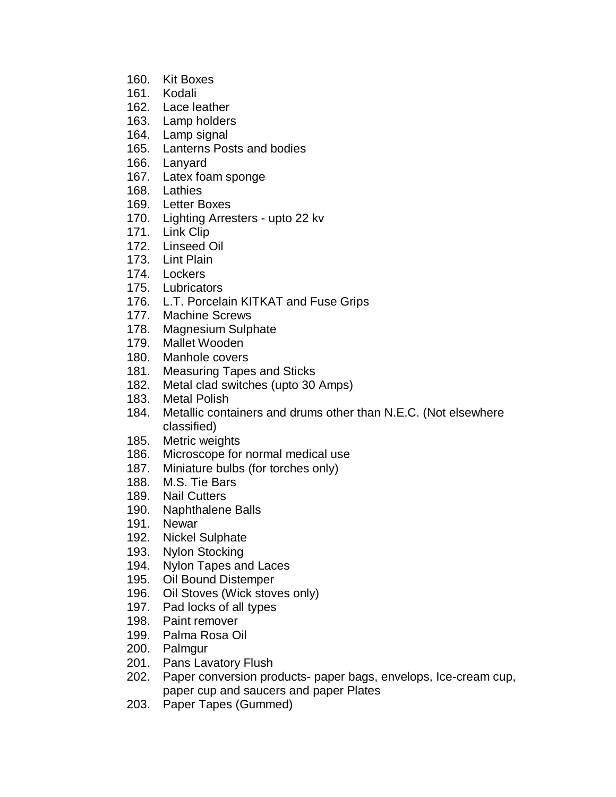- 160. Kit Boxes
- 161. Kodali
- 162. Lace leather
- 163. Lamp holders
- 164. Lamp signal
- 165. Lanterns Posts and bodies
- 166. Lanyard
- 167. Latex foam sponge
- 168. Lathies
- 169. Letter Boxes
- 170. Lighting Arresters upto 22 kv
- 171. Link Clip
- 172. Linseed Oil
- 173. Lint Plain
- 174. Lockers
- 175. Lubricators
- 176. L.T. Porcelain KITKAT and Fuse Grips
- 177. Machine Screws
- 178. Magnesium Sulphate
- 179. Mallet Wooden
- 180. Manhole covers
- 181. Measuring Tapes and Sticks
- 182. Metal clad switches (upto 30 Amps)
- 183. Metal Polish
- 184. Metallic containers and drums other than N.E.C. (Not elsewhere classified)
- 185. Metric weights
- 186. Microscope for normal medical use
- 187. Miniature bulbs (for torches only)
- 188. M.S. Tie Bars
- 189. Nail Cutters
- 190. Naphthalene Balls
- 191. Newar
- 192. Nickel Sulphate
- 193. Nylon Stocking
- 194. Nylon Tapes and Laces
- 195. Oil Bound Distemper
- 196. Oil Stoves (Wick stoves only)
- 197. Pad locks of all types
- 198. Paint remover
- 199. Palma Rosa Oil
- 200. Palmgur
- 201. Pans Lavatory Flush
- 202. Paper conversion products- paper bags, envelops, Ice-cream cup, paper cup and saucers and paper Plates
- 203. Paper Tapes (Gummed)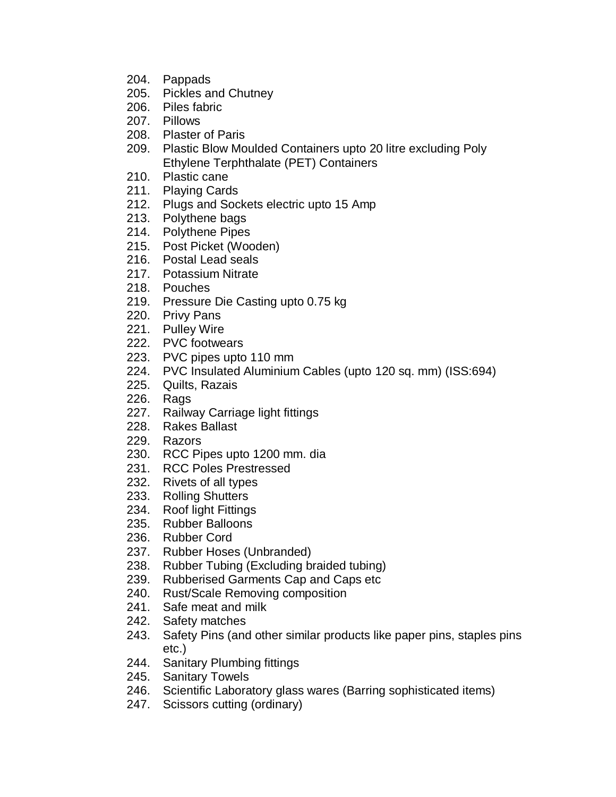- 204. Pappads
- 205. Pickles and Chutney
- 206. Piles fabric
- 207. Pillows
- 208. Plaster of Paris
- 209. Plastic Blow Moulded Containers upto 20 litre excluding Poly Ethylene Terphthalate (PET) Containers
- 210. Plastic cane
- 211. Playing Cards
- 212. Plugs and Sockets electric upto 15 Amp
- 213. Polythene bags
- 214. Polythene Pipes
- 215. Post Picket (Wooden)
- 216. Postal Lead seals
- 217. Potassium Nitrate
- 218. Pouches
- 219. Pressure Die Casting upto 0.75 kg
- 220. Privy Pans
- 221. Pulley Wire
- 222. PVC footwears
- 223. PVC pipes upto 110 mm
- 224. PVC Insulated Aluminium Cables (upto 120 sq. mm) (ISS:694)
- 225. Quilts, Razais
- 226. Rags
- 227. Railway Carriage light fittings
- 228. Rakes Ballast
- 229. Razors
- 230. RCC Pipes upto 1200 mm. dia
- 231. RCC Poles Prestressed
- 232. Rivets of all types
- 233. Rolling Shutters
- 234. Roof light Fittings
- 235. Rubber Balloons
- 236. Rubber Cord
- 237. Rubber Hoses (Unbranded)
- 238. Rubber Tubing (Excluding braided tubing)
- 239. Rubberised Garments Cap and Caps etc
- 240. Rust/Scale Removing composition
- 241. Safe meat and milk
- 242. Safety matches
- 243. Safety Pins (and other similar products like paper pins, staples pins etc.)
- 244. Sanitary Plumbing fittings
- 245. Sanitary Towels
- 246. Scientific Laboratory glass wares (Barring sophisticated items)
- 247. Scissors cutting (ordinary)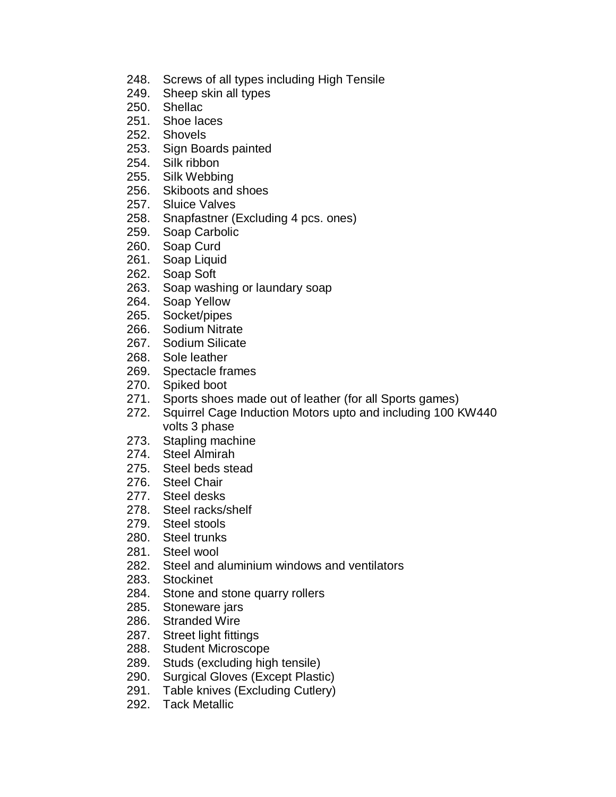- 248. Screws of all types including High Tensile
- 249. Sheep skin all types
- 250. Shellac
- 251. Shoe laces
- 252. Shovels
- 253. Sign Boards painted
- 254. Silk ribbon
- 255. Silk Webbing
- 256. Skiboots and shoes
- 257. Sluice Valves
- 258. Snapfastner (Excluding 4 pcs. ones)
- 259. Soap Carbolic
- 260. Soap Curd
- 261. Soap Liquid
- 262. Soap Soft
- 263. Soap washing or laundary soap
- 264. Soap Yellow
- 265. Socket/pipes
- 266. Sodium Nitrate
- 267. Sodium Silicate
- 268. Sole leather
- 269. Spectacle frames
- 270. Spiked boot
- 271. Sports shoes made out of leather (for all Sports games)
- 272. Squirrel Cage Induction Motors upto and including 100 KW440 volts 3 phase
- 273. Stapling machine
- 274. Steel Almirah
- 275. Steel beds stead
- 276. Steel Chair
- 277. Steel desks
- 278. Steel racks/shelf
- 279. Steel stools
- 280. Steel trunks
- 281. Steel wool
- 282. Steel and aluminium windows and ventilators
- 283. Stockinet
- 284. Stone and stone quarry rollers
- 285. Stoneware jars
- 286. Stranded Wire
- 287. Street light fittings
- 288. Student Microscope
- 289. Studs (excluding high tensile)
- 290. Surgical Gloves (Except Plastic)
- 291. Table knives (Excluding Cutlery)
- 292. Tack Metallic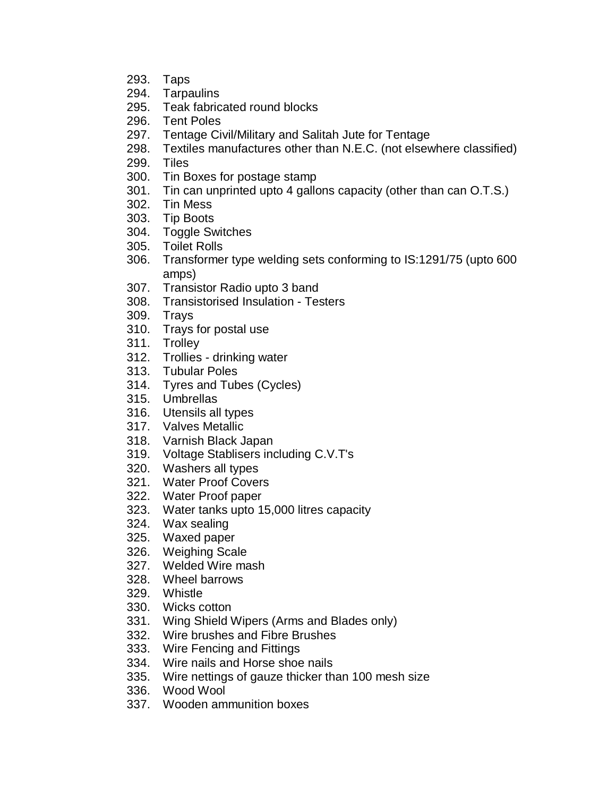- 293. Taps
- 294. Tarpaulins
- 295. Teak fabricated round blocks
- 296. Tent Poles
- 297. Tentage Civil/Military and Salitah Jute for Tentage
- 298. Textiles manufactures other than N.E.C. (not elsewhere classified)
- 299. Tiles
- 300. Tin Boxes for postage stamp
- 301. Tin can unprinted upto 4 gallons capacity (other than can O.T.S.)
- 302. Tin Mess
- 303. Tip Boots
- 304. Toggle Switches
- 305. Toilet Rolls
- 306. Transformer type welding sets conforming to IS:1291/75 (upto 600 amps)
- 307. Transistor Radio upto 3 band
- 308. Transistorised Insulation Testers
- 309. Trays
- 310. Trays for postal use
- 311. Trolley
- 312. Trollies drinking water
- 313. Tubular Poles
- 314. Tyres and Tubes (Cycles)
- 315. Umbrellas
- 316. Utensils all types
- 317. Valves Metallic
- 318. Varnish Black Japan
- 319. Voltage Stablisers including C.V.T's
- 320. Washers all types
- 321. Water Proof Covers
- 322. Water Proof paper
- 323. Water tanks upto 15,000 litres capacity
- 324. Wax sealing
- 325. Waxed paper
- 326. Weighing Scale
- 327. Welded Wire mash
- 328. Wheel barrows
- 329. Whistle
- 330. Wicks cotton
- 331. Wing Shield Wipers (Arms and Blades only)
- 332. Wire brushes and Fibre Brushes
- 333. Wire Fencing and Fittings
- 334. Wire nails and Horse shoe nails
- 335. Wire nettings of gauze thicker than 100 mesh size
- 336. Wood Wool
- 337. Wooden ammunition boxes